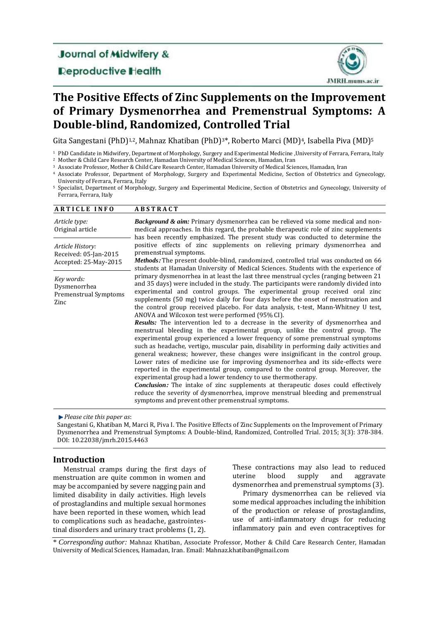## Journal of Midwifery &

## **Deproductive Health**



# **The Positive Effects of Zinc Supplements on the Improvement of Primary Dysmenorrhea and Premenstrual Symptoms: A Double-blind, Randomized, Controlled Trial**

Gita Sangestani (PhD)<sup>1,2</sup>, Mahnaz Khatiban (PhD)<sup>3\*</sup>, Roberto Marci (MD)<sup>4</sup>, Isabella Piva (MD)<sup>5</sup>

<sup>1</sup> PhD Candidate in Midwifery, Department of Morphology, Surgery and Experimental Medicine ,University of Ferrara, Ferrara, Italy

<sup>2</sup> Mother & Child Care Research Center, Hamadan University of Medical Sciences, Hamadan, Iran

<sup>3</sup> Associate Professor, Mother & Child Care Research Center, Hamadan University of Medical Sciences, Hamadan, Iran

<sup>5</sup> Specialist, Department of Morphology, Surgery and Experimental Medicine, Section of Obstetrics and Gynecology, University of Ferrara, Ferrara, Italy

| <b>ARTICLE INFO</b>                                                | <b>ABSTRACT</b>                                                                                                                                                                                                                                                                                                                                                                                                                                                                                                                                                                                                                                                                                                                                                                                                                                                                                                                                                                                                                                                                                                                                                                                                                                                                                                                                                                                               |
|--------------------------------------------------------------------|---------------------------------------------------------------------------------------------------------------------------------------------------------------------------------------------------------------------------------------------------------------------------------------------------------------------------------------------------------------------------------------------------------------------------------------------------------------------------------------------------------------------------------------------------------------------------------------------------------------------------------------------------------------------------------------------------------------------------------------------------------------------------------------------------------------------------------------------------------------------------------------------------------------------------------------------------------------------------------------------------------------------------------------------------------------------------------------------------------------------------------------------------------------------------------------------------------------------------------------------------------------------------------------------------------------------------------------------------------------------------------------------------------------|
| Article type:<br>Original article                                  | <b>Background &amp; aim:</b> Primary dysmenorrhea can be relieved via some medical and non-<br>medical approaches. In this regard, the probable therapeutic role of zinc supplements<br>has been recently emphasized. The present study was conducted to determine the                                                                                                                                                                                                                                                                                                                                                                                                                                                                                                                                                                                                                                                                                                                                                                                                                                                                                                                                                                                                                                                                                                                                        |
| Article History:<br>Received: 05-Jan-2015<br>Accepted: 25-May-2015 | positive effects of zinc supplements on relieving primary dysmenorrhea and<br>premenstrual symptoms.<br>Methods: The present double-blind, randomized, controlled trial was conducted on 66<br>students at Hamadan University of Medical Sciences. Students with the experience of                                                                                                                                                                                                                                                                                                                                                                                                                                                                                                                                                                                                                                                                                                                                                                                                                                                                                                                                                                                                                                                                                                                            |
| Key words:<br>Dysmenorrhea<br>Premenstrual Symptoms<br>Zinc        | primary dysmenorrhea in at least the last three menstrual cycles (ranging between 21<br>and 35 days) were included in the study. The participants were randomly divided into<br>experimental and control groups. The experimental group received oral zinc<br>supplements (50 mg) twice daily for four days before the onset of menstruation and<br>the control group received placebo. For data analysis, t-test, Mann-Whitney U test,<br>ANOVA and Wilcoxon test were performed (95% CI).<br>Results: The intervention led to a decrease in the severity of dysmenorrhea and<br>menstrual bleeding in the experimental group, unlike the control group. The<br>experimental group experienced a lower frequency of some premenstrual symptoms<br>such as headache, vertigo, muscular pain, disability in performing daily activities and<br>general weakness; however, these changes were insignificant in the control group.<br>Lower rates of medicine use for improving dysmenorrhea and its side-effects were<br>reported in the experimental group, compared to the control group. Moreover, the<br>experimental group had a lower tendency to use thermotherapy.<br><b>Conclusion:</b> The intake of zinc supplements at therapeutic doses could effectively<br>reduce the severity of dysmenorrhea, improve menstrual bleeding and premenstrual<br>symptoms and prevent other premenstrual symptoms. |

*Please cite this paper as*:

Sangestani G, Khatiban M, Marci R, Piva I. The Positive Effects of Zinc Supplements on the Improvement of Primary Dysmenorrhea and Premenstrual Symptoms: A Double-blind, Randomized, Controlled Trial. 2015; 3(3): 378-384. DOI: 10.22038/jmrh.2015.4463

### **Introduction**

Menstrual cramps during the first days of menstruation are quite common in women and may be accompanied by severe nagging pain and limited disability in daily activities. High levels of prostaglandins and multiple sexual hormones have been reported in these women, which lead to complications such as headache, gastrointestinal disorders and urinary tract problems (1, 2).

These contractions may also lead to reduced uterine blood supply and aggravate dysmenorrhea and premenstrual symptoms (3).

Primary dysmenorrhea can be relieved via some medical approaches including the inhibition of the production or release of prostaglandins, use of anti-inflammatory drugs for reducing inflammatory pain and even contraceptives for

\* *Corresponding author:* Mahnaz Khatiban, Associate Professor, Mother & Child Care Research Center, Hamadan University of Medical Sciences, Hamadan, Iran. Email: [Mahnaz.khatiban@gmail.com](mailto:Mahnaz.khatiban@gmail.com)

<sup>4</sup> Associate Professor, Department of Morphology, Surgery and Experimental Medicine, Section of Obstetrics and Gynecology, University of Ferrara, Ferrara, Italy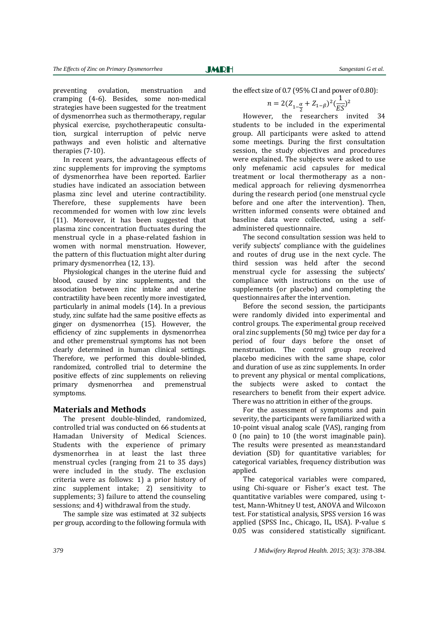preventing ovulation, menstruation and cramping (4-6). Besides, some non-medical strategies have been suggested for the treatment of dysmenorrhea such as thermotherapy, regular physical exercise, psychotherapeutic consultation, surgical interruption of pelvic nerve pathways and even holistic and alternative therapies (7-10).

In recent years, the advantageous effects of zinc supplements for improving the symptoms of dysmenorrhea have been reported. Earlier studies have indicated an association between plasma zinc level and uterine contractibility. Therefore, these supplements have been recommended for women with low zinc levels (11). Moreover, it has been suggested that plasma zinc concentration fluctuates during the menstrual cycle in a phase-related fashion in women with normal menstruation. However, the pattern of this fluctuation might alter during primary dysmenorrhea (12, 13).

Physiological changes in the uterine fluid and blood, caused by zinc supplements, and the association between zinc intake and uterine contractility have been recently more investigated, particularly in animal models (14). In a previous study, zinc sulfate had the same positive effects as ginger on dysmenorrhea (15). However, the efficiency of zinc supplements in dysmenorrhea and other premenstrual symptoms has not been clearly determined in human clinical settings. Therefore, we performed this double-blinded, randomized, controlled trial to determine the positive effects of zinc supplements on relieving primary dysmenorrhea and premenstrual symptoms.

#### **Materials and Methods**

The present double-blinded, randomized, controlled trial was conducted on 66 students at Hamadan University of Medical Sciences. Students with the experience of primary dysmenorrhea in at least the last three menstrual cycles (ranging from 21 to 35 days) were included in the study. The exclusion criteria were as follows: 1) a prior history of zinc supplement intake; 2) sensitivity to supplements; 3) failure to attend the counseling sessions; and 4) withdrawal from the study.

The sample size was estimated at 32 subjects per group, according to the following formula with

the effect size of 0.7 (95% CI and power of 0.80):

$$
n = 2(Z_{1-\frac{\alpha}{2}} + Z_{1-\beta})^2 (\frac{1}{ES})^2
$$

However, the researchers invited 34 students to be included in the experimental group. All participants were asked to attend some meetings. During the first consultation session, the study objectives and procedures were explained. The subjects were asked to use only mefenamic acid capsules for medical treatment or local thermotherapy as a nonmedical approach for relieving dysmenorrhea during the research period (one menstrual cycle before and one after the intervention). Then, written informed consents were obtained and baseline data were collected, using a selfadministered questionnaire.

The second consultation session was held to verify subjects' compliance with the guidelines and routes of drug use in the next cycle. The third session was held after the second menstrual cycle for assessing the subjects' compliance with instructions on the use of supplements (or placebo) and completing the questionnaires after the intervention.

Before the second session, the participants were randomly divided into experimental and control groups. The experimental group received oral zinc supplements (50 mg) twice per day for a period of four days before the onset of menstruation. The control group received placebo medicines with the same shape, color and duration of use as zinc supplements. In order to prevent any physical or mental complications, the subjects were asked to contact the researchers to benefit from their expert advice. There was no attrition in either of the groups.

For the assessment of symptoms and pain severity, the participants were familiarized with a 10-point visual analog scale (VAS), ranging from 0 (no pain) to 10 (the worst imaginable pain). The results were presented as mean±standard deviation (SD) for quantitative variables; for categorical variables, frequency distribution was applied.

The categorical variables were compared, using Chi-square or Fisher's exact test. The quantitative variables were compared, using ttest, Mann-Whitney U test, ANOVA and Wilcoxon test. For statistical analysis, SPSS version 16 was applied (SPSS Inc., Chicago, IL, USA). P-value ≤ 0.05 was considered statistically significant.

*379 J Midwifery Reprod Health. 2015; 3(3): 378-384.*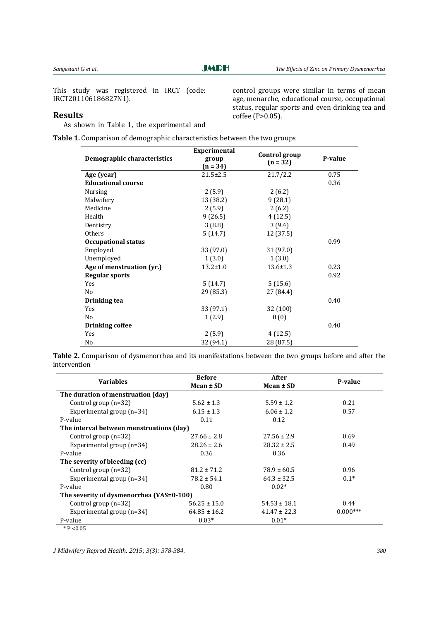**JMRH** 

coffee (P>0.05).

control groups were similar in terms of mean age, menarche, educational course, occupational status, regular sports and even drinking tea and

This study was registered in IRCT (code: IRCT201106186827N1).

#### **Results**

As shown in Table 1, the experimental and

**Table 1.** Comparison of demographic characteristics between the two groups

|                             | <b>Experimental</b> |                             |         |  |
|-----------------------------|---------------------|-----------------------------|---------|--|
| Demographic characteristics | group               | Control group<br>$(n = 32)$ | P-value |  |
|                             | $(n = 34)$          |                             |         |  |
| Age (year)                  | $21.5 \pm 2.5$      | 21.7/2.2                    | 0.75    |  |
| <b>Educational course</b>   |                     |                             | 0.36    |  |
| <b>Nursing</b>              | 2(5.9)              | 2(6.2)                      |         |  |
| Midwifery                   | 13 (38.2)           | 9(28.1)                     |         |  |
| Medicine                    | 2(5.9)              | 2(6.2)                      |         |  |
| Health                      | 9(26.5)             | 4(12.5)                     |         |  |
| Dentistry                   | 3(8.8)              | 3(9.4)                      |         |  |
| <b>Others</b>               | 5(14.7)             | 12 (37.5)                   |         |  |
| <b>Occupational status</b>  |                     |                             | 0.99    |  |
| Employed                    | 33 (97.0)           | 31 (97.0)                   |         |  |
| Unemployed                  | 1(3.0)              | 1(3.0)                      |         |  |
| Age of menstruation (yr.)   | $13.2 \pm 1.0$      | $13.6 \pm 1.3$              | 0.23    |  |
| <b>Regular sports</b>       |                     |                             | 0.92    |  |
| Yes                         | 5(14.7)             | 5(15.6)                     |         |  |
| No                          | 29 (85.3)           | 27 (84.4)                   |         |  |
| Drinking tea                |                     |                             | 0.40    |  |
| Yes                         | 33 (97.1)           | 32 (100)                    |         |  |
| No                          | 1(2.9)              | 0(0)                        |         |  |
| <b>Drinking coffee</b>      |                     |                             | 0.40    |  |
| Yes                         | 2(5.9)              | 4(12.5)                     |         |  |
| No                          | 32 (94.1)           | 28 (87.5)                   |         |  |

**Table 2.** Comparison of dysmenorrhea and its manifestations between the two groups before and after the intervention

| <b>Variables</b>                         | <b>Before</b><br>After |                  | P-value    |  |
|------------------------------------------|------------------------|------------------|------------|--|
|                                          | Mean ± SD              | Mean $\pm$ SD    |            |  |
| The duration of menstruation (day)       |                        |                  |            |  |
| Control group $(n=32)$                   | $5.62 \pm 1.3$         | $5.59 \pm 1.2$   | 0.21       |  |
| Experimental group $(n=34)$              | $6.15 \pm 1.3$         | $6.06 \pm 1.2$   | 0.57       |  |
| P-value                                  | 0.11                   | 0.12             |            |  |
| The interval between menstruations (day) |                        |                  |            |  |
| Control group $(n=32)$                   | $27.66 \pm 2.8$        | $27.56 \pm 2.9$  | 0.69       |  |
| Experimental group $(n=34)$              | $28.26 \pm 2.6$        | $28.32 \pm 2.5$  | 0.49       |  |
| P-value                                  | 0.36                   | 0.36             |            |  |
| The severity of bleeding (cc)            |                        |                  |            |  |
| Control group $(n=32)$                   | $81.2 \pm 71.2$        | $78.9 \pm 60.5$  | 0.96       |  |
| Experimental group $(n=34)$              | $78.2 \pm 54.1$        | $64.3 \pm 32.5$  | $0.1*$     |  |
| P-value                                  | 0.80                   | $0.02*$          |            |  |
| The severity of dysmenorrhea (VAS=0-100) |                        |                  |            |  |
| Control group $(n=32)$                   | $56.25 \pm 15.0$       | $54.53 \pm 18.1$ | 0.44       |  |
| Experimental group $(n=34)$              | $64.85 \pm 16.2$       | $41.47 \pm 22.3$ | $0.000***$ |  |
| P-value                                  | $0.03*$                | $0.01*$          |            |  |
| $*$ P < 0.05                             |                        |                  |            |  |

*J Midwifery Reprod Health. 2015; 3(3): 378-384. 380*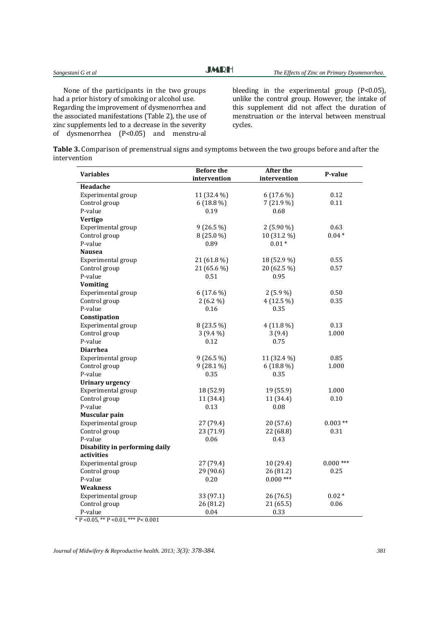None of the participants in the two groups had a prior history of smoking or alcohol use. Regarding the improvement of dysmenorrhea and the associated manifestations (Table 2), the use of zinc supplements led to a decrease in the severity of dysmenorrhea (P<0.05) and menstru-al bleeding in the experimental group (P<0.05), unlike the control group. However, the intake of this supplement did not affect the duration of menstruation or the interval between menstrual cycles.

| Table 3. Comparison of premenstrual signs and symptoms between the two groups before and after the |  |  |
|----------------------------------------------------------------------------------------------------|--|--|
| intervention                                                                                       |  |  |

|                                | <b>Before the</b> | After the    | P-value     |  |
|--------------------------------|-------------------|--------------|-------------|--|
| <b>Variables</b>               | intervention      | intervention |             |  |
| Headache                       |                   |              |             |  |
| Experimental group             | 11 (32.4 %)       | $6(17.6\%)$  | 0.12        |  |
| Control group                  | $6(18.8\%)$       | $7(21.9\%)$  | 0.11        |  |
| P-value                        | 0.19              | 0.68         |             |  |
| <b>Vertigo</b>                 |                   |              |             |  |
| Experimental group             | $9(26.5\%)$       | $2(5.90\%)$  | 0.63        |  |
| Control group                  | 8 (25.0 %)        | 10 (31.2 %)  | $0.04*$     |  |
| P-value                        | 0.89              | $0.01*$      |             |  |
| <b>Nausea</b>                  |                   |              |             |  |
| Experimental group             | 21 (61.8 %)       | 18 (52.9 %)  | 0.55        |  |
| Control group                  | 21 (65.6 %)       | 20 (62.5 %)  | 0.57        |  |
| P-value                        | 0.51              | 0.95         |             |  |
| <b>Vomiting</b>                |                   |              |             |  |
| Experimental group             | $6(17.6\%)$       | $2(5.9\%)$   | 0.50        |  |
| Control group                  | $2(6.2\%)$        | $4(12.5\%)$  | 0.35        |  |
| P-value                        | 0.16              | 0.35         |             |  |
| Constipation                   |                   |              |             |  |
| Experimental group             | 8 (23.5 %)        | $4(11.8\%)$  | 0.13        |  |
| Control group                  | $3(9.4\%)$        | 3(9.4)       | 1.000       |  |
| P-value                        | 0.12              | 0.75         |             |  |
| <b>Diarrhea</b>                |                   |              |             |  |
| Experimental group             | $9(26.5\%)$       | 11 (32.4 %)  | 0.85        |  |
| Control group                  | $9(28.1\%)$       | $6(18.8\%)$  | 1.000       |  |
| P-value                        | 0.35              | 0.35         |             |  |
| <b>Urinary urgency</b>         |                   |              |             |  |
| Experimental group             | 18 (52.9)         | 19 (55.9)    | 1.000       |  |
| Control group                  | 11 (34.4)         | 11 (34.4)    | $0.10\,$    |  |
| P-value                        | 0.13              | 0.08         |             |  |
| Muscular pain                  |                   |              |             |  |
| Experimental group             | 27 (79.4)         | 20(57.6)     | $0.003$ **  |  |
| Control group                  | 23 (71.9)         | 22 (68.8)    | 0.31        |  |
| P-value                        | 0.06              | 0.43         |             |  |
| Disability in performing daily |                   |              |             |  |
| activities                     |                   |              |             |  |
| Experimental group             | 27 (79.4)         | 10 (29.4)    | $0.000$ *** |  |
| Control group                  | 29 (90.6)         | 26 (81.2)    | 0.25        |  |
| P-value                        | 0.20              | $0.000$ ***  |             |  |
| Weakness                       |                   |              |             |  |
| Experimental group             | 33 (97.1)         | 26 (76.5)    | $0.02*$     |  |
| Control group                  | 26 (81.2)         | 21 (65.5)    | 0.06        |  |
| P-value                        | 0.04              | 0.33         |             |  |

 $* \text{P} < 0.05, ** \text{P} < 0.01, ** \text{P} < 0.001$ 

*Journal of Midwifery & Reproductive health. 2013; 3(3): 378-384. 381*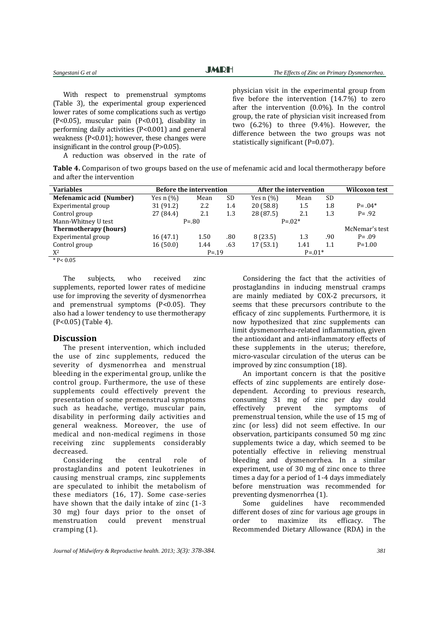With respect to premenstrual symptoms (Table 3), the experimental group experienced lower rates of some complications such as vertigo (P<0.05), muscular pain (P<0.01), disability in performing daily activities (P<0.001) and general weakness (P<0.01); however, these changes were insignificant in the control group (P>0.05).

A reduction was observed in the rate of

physician visit in the experimental group from five before the intervention (14.7%) to zero after the intervention (0.0%). In the control group, the rate of physician visit increased from two (6.2%) to three (9.4%). However, the difference between the two groups was not statistically significant (P=0.07).

**Table 4.** Comparison of two groups based on the use of mefenamic acid and local thermotherapy before and after the intervention

| <b>Variables</b>             | <b>Before the intervention</b> |      |             | After the intervention |      |     | Wilcoxon test  |
|------------------------------|--------------------------------|------|-------------|------------------------|------|-----|----------------|
| Mefenamic acid (Number)      | Yes $n$ $(\%)$                 | Mean | <b>SD</b>   | Yes $n$ $(\%)$         | Mean | SD  |                |
| Experimental group           | 31 (91.2)                      | 2.2  | 1.4         | 20(58.8)               | 1.5  | 1.8 | $P = .04*$     |
| Control group                | 27 (84.4)                      | 2.1  | 1.3         | 28 (87.5)              | 2.1  | 1.3 | $P = .92$      |
| Mann-Whitney U test          | $P = .80$                      |      | $P = 0.02*$ |                        |      |     |                |
| <b>Thermotherapy (hours)</b> |                                |      |             |                        |      |     | McNemar's test |
| Experimental group           | 16(47.1)                       | 1.50 | .80         | 8(23.5)                | 1.3  | .90 | $P = .09$      |
| Control group                | 16(50.0)                       | 1.44 | .63         | 17(53.1)               | 1.41 | 1.1 | $P = 1.00$     |
| $X^2$                        | $P = 19$                       |      | $P = 01*$   |                        |      |     |                |
| $* P < 0.05$                 |                                |      |             |                        |      |     |                |

The subjects, who received zinc supplements, reported lower rates of medicine use for improving the severity of dysmenorrhea and premenstrual symptoms (P<0.05). They also had a lower tendency to use thermotherapy (P<0.05) (Table 4).

#### **Discussion**

The present intervention, which included the use of zinc supplements, reduced the severity of dysmenorrhea and menstrual bleeding in the experimental group, unlike the control group. Furthermore, the use of these supplements could effectively prevent the presentation of some premenstrual symptoms such as headache, vertigo, muscular pain, disability in performing daily activities and general weakness. Moreover, the use of medical and non-medical regimens in those receiving zinc supplements considerably decreased.

Considering the central role of prostaglandins and potent leukotrienes in causing menstrual cramps, zinc supplements are speculated to inhibit the metabolism of these mediators (16, 17). Some case-series have shown that the daily intake of zinc (1-3 30 mg) four days prior to the onset of menstruation could prevent menstrual cramping (1).

Considering the fact that the activities of prostaglandins in inducing menstrual cramps are mainly mediated by COX-2 precursors, it seems that these precursors contribute to the efficacy of zinc supplements. Furthermore, it is now hypothesized that zinc supplements can limit dysmenorrhea-related inflammation, given the antioxidant and anti-inflammatory effects of these supplements in the uterus; therefore, micro-vascular circulation of the uterus can be improved by zinc consumption (18).

An important concern is that the positive effects of zinc supplements are entirely dosedependent. According to previous research, consuming 31 mg of zinc per day could<br>effectively prevent the symptoms of effectively prevent the symptoms of premenstrual tension, while the use of 15 mg of zinc (or less) did not seem effective. In our observation, participants consumed 50 mg zinc supplements twice a day, which seemed to be potentially effective in relieving menstrual bleeding and dysmenorrhea. In a similar experiment, use of 30 mg of zinc once to three times a day for a period of 1-4 days immediately before menstruation was recommended for preventing dysmenorrhea (1).

Some guidelines have recommended different doses of zinc for various age groups in order to maximize its efficacy. The Recommended Dietary Allowance (RDA) in the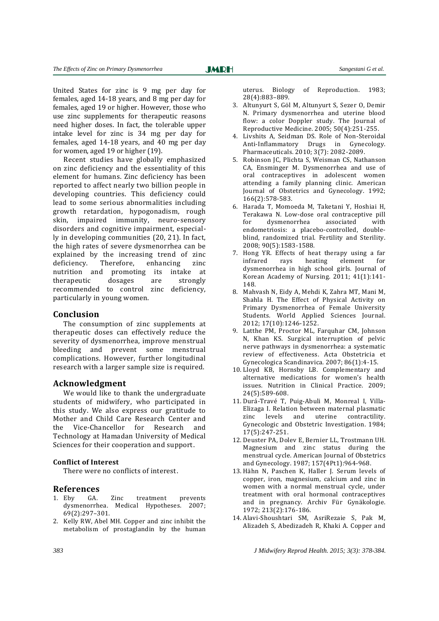United States for zinc is 9 mg per day for females, aged 14-18 years, and 8 mg per day for females, aged 19 or higher. However, those who use zinc supplements for therapeutic reasons need higher doses. In fact, the tolerable upper intake level for zinc is 34 mg per day for females, aged 14-18 years, and 40 mg per day for women, aged 19 or higher (19).

Recent studies have globally emphasized on zinc deficiency and the essentiality of this element for humans. Zinc deficiency has been reported to affect nearly two billion people in developing countries. This deficiency could lead to some serious abnormalities including growth retardation, hypogonadism, rough skin, impaired immunity, neuro-sensory disorders and cognitive impairment, especially in developing communities (20, 21). In fact, the high rates of severe dysmenorrhea can be explained by the increasing trend of zinc deficiency. Therefore, enhancing zinc nutrition and promoting its intake at therapeutic dosages are strongly recommended to control zinc deficiency, particularly in young women.

#### **Conclusion**

The consumption of zinc supplements at therapeutic doses can effectively reduce the severity of dysmenorrhea, improve menstrual bleeding and prevent some menstrual complications. However, further longitudinal research with a larger sample size is required.

#### **Acknowledgment**

We would like to thank the undergraduate students of midwifery, who participated in this study. We also express our gratitude to Mother and Child Care Research Center and the Vice-Chancellor for Research and Technology at Hamadan University of Medical Sciences for their cooperation and support.

#### **Conflict of Interest**

There were no conflicts of interest.

#### **References**

- 1. Eby GA. Zinc treatment prevents dysmenorrhea. Medical Hypotheses. 2007; 69(2):297–301.
- 2. Kelly RW, Abel MH. Copper and zinc inhibit the metabolism of prostaglandin by the human

uterus. Biology of Reproduction. 1983; 28(4):883–889.

- 3. Altunyurt S, Göl M, Altunyurt S, Sezer O, Demir N. Primary dysmenorrhea and uterine blood flow: a color Doppler study. The Journal of Reproductive Medicine. 2005; 50(4):251-255.
- 4. Livshits A, Seidman DS. Role of Non-Steroidal Anti-Inflammatory Drugs in Gynecology. Pharmaceuticals. 2010; 3(7): 2082-2089.
- 5. [Robinson JC,](http://www.ncbi.nlm.nih.gov/pubmed?term=Robinson%20JC%5BAuthor%5D&cauthor=true&cauthor_uid=1536234) [Plichta S,](http://www.ncbi.nlm.nih.gov/pubmed?term=Plichta%20S%5BAuthor%5D&cauthor=true&cauthor_uid=1536234) [Weisman CS,](http://www.ncbi.nlm.nih.gov/pubmed?term=Weisman%20CS%5BAuthor%5D&cauthor=true&cauthor_uid=1536234) [Nathanson](http://www.ncbi.nlm.nih.gov/pubmed?term=Nathanson%20CA%5BAuthor%5D&cauthor=true&cauthor_uid=1536234)  [CA,](http://www.ncbi.nlm.nih.gov/pubmed?term=Nathanson%20CA%5BAuthor%5D&cauthor=true&cauthor_uid=1536234) [Ensminger M.](http://www.ncbi.nlm.nih.gov/pubmed?term=Ensminger%20M%5BAuthor%5D&cauthor=true&cauthor_uid=1536234) Dysmenorrhea and use of oral contraceptives in adolescent women attending a family planning clinic. [American](http://www.ncbi.nlm.nih.gov/pubmed/1536234)  [Journal of Obstetrics and Gynecology.](http://www.ncbi.nlm.nih.gov/pubmed/1536234) 1992; 166(2):578-583.
- 6. [Harada T,](http://www.ncbi.nlm.nih.gov/pubmed?term=Harada%20T%5BAuthor%5D&cauthor=true&cauthor_uid=18164001) [Momoeda M,](http://www.ncbi.nlm.nih.gov/pubmed?term=Momoeda%20M%5BAuthor%5D&cauthor=true&cauthor_uid=18164001) [Taketani Y,](http://www.ncbi.nlm.nih.gov/pubmed?term=Taketani%20Y%5BAuthor%5D&cauthor=true&cauthor_uid=18164001) [Hoshiai H,](http://www.ncbi.nlm.nih.gov/pubmed?term=Hoshiai%20H%5BAuthor%5D&cauthor=true&cauthor_uid=18164001)  [Terakawa N.](http://www.ncbi.nlm.nih.gov/pubmed?term=Terakawa%20N%5BAuthor%5D&cauthor=true&cauthor_uid=18164001) Low-dose oral contraceptive pill for dysmenorrhea associated with endometriosis: a placebo-controlled, doubleblind, randomized trial. [Fertility and Sterility.](http://www.ncbi.nlm.nih.gov/pubmed/18164001) 2008; 90(5):1583-1588.
- 7. Hong YR. [Effects of heat therapy using a far](http://www.ncbi.nlm.nih.gov/pubmed/21516008)  [infrared rays heating element for](http://www.ncbi.nlm.nih.gov/pubmed/21516008)  [dysmenorrhea in high school girls.](http://www.ncbi.nlm.nih.gov/pubmed/21516008) Journal of Korean Academy of Nursing. 2011; 41(1):141- 148.
- 8. Mahvash N, Eidy A, Mehdi K, Zahra MT, Mani M, Shahla H. The Effect of Physical Activity on Primary Dysmenorrhea of Female University Students. World Applied Sciences Journal. 2012; 17(10):1246-1252.
- 9. [Latthe PM,](http://www.ncbi.nlm.nih.gov/pubmed?term=Latthe%20PM%5BAuthor%5D&cauthor=true&cauthor_uid=17230282) [Proctor ML,](http://www.ncbi.nlm.nih.gov/pubmed?term=Proctor%20ML%5BAuthor%5D&cauthor=true&cauthor_uid=17230282) [Farquhar CM,](http://www.ncbi.nlm.nih.gov/pubmed?term=Farquhar%20CM%5BAuthor%5D&cauthor=true&cauthor_uid=17230282) [Johnson](http://www.ncbi.nlm.nih.gov/pubmed?term=Johnson%20N%5BAuthor%5D&cauthor=true&cauthor_uid=17230282) [N,](http://www.ncbi.nlm.nih.gov/pubmed?term=Johnson%20N%5BAuthor%5D&cauthor=true&cauthor_uid=17230282) [Khan KS.](http://www.ncbi.nlm.nih.gov/pubmed?term=Khan%20KS%5BAuthor%5D&cauthor=true&cauthor_uid=17230282) Surgical interruption of pelvic nerve pathways in dysmenorrhea: a systematic review of effectiveness. [Acta Obstetricia et](http://www.ncbi.nlm.nih.gov/pubmed/17230282)  [Gynecologica Scandinavica.](http://www.ncbi.nlm.nih.gov/pubmed/17230282) 2007; 86(1):4-15.
- 10. Lloyd KB, Hornsby LB. [Complementary and](http://www.ncbi.nlm.nih.gov/pubmed/19841247)  [alternative medications for women's health](http://www.ncbi.nlm.nih.gov/pubmed/19841247)  [issues.](http://www.ncbi.nlm.nih.gov/pubmed/19841247) Nutrition in Clinical Practice. 2009; 24(5):589-608.
- 11. [Durá-Travé T,](http://www.ncbi.nlm.nih.gov/pubmed?term=Dur%C3%A1-Trav%C3%A9%20T%5BAuthor%5D&cauthor=true&cauthor_uid=6610608) [Puig-Abuli M,](http://www.ncbi.nlm.nih.gov/pubmed?term=Puig-Abuli%20M%5BAuthor%5D&cauthor=true&cauthor_uid=6610608) [Monreal I,](http://www.ncbi.nlm.nih.gov/pubmed?term=Monreal%20I%5BAuthor%5D&cauthor=true&cauthor_uid=6610608) [Villa-](http://www.ncbi.nlm.nih.gov/pubmed?term=Villa-Elizaga%20I%5BAuthor%5D&cauthor=true&cauthor_uid=6610608)[Elizaga I.](http://www.ncbi.nlm.nih.gov/pubmed?term=Villa-Elizaga%20I%5BAuthor%5D&cauthor=true&cauthor_uid=6610608) Relation between maternal plasmatic zinc levels and uterine contractility. [Gynecologic and Obstetric Investigation.](http://www.ncbi.nlm.nih.gov/pubmed/6610608) 1984; 17(5):247-251.
- 12. [Deuster PA,](http://www.ncbi.nlm.nih.gov/pubmed?term=Deuster%20PA%5BAuthor%5D&cauthor=true&cauthor_uid=3674170) [Dolev E,](http://www.ncbi.nlm.nih.gov/pubmed?term=Dolev%20E%5BAuthor%5D&cauthor=true&cauthor_uid=3674170) [Bernier LL,](http://www.ncbi.nlm.nih.gov/pubmed?term=Bernier%20LL%5BAuthor%5D&cauthor=true&cauthor_uid=3674170) [Trostmann UH.](http://www.ncbi.nlm.nih.gov/pubmed?term=Trostmann%20UH%5BAuthor%5D&cauthor=true&cauthor_uid=3674170)  Magnesium and zinc status during the menstrual cycle. [American Journal of Obstetrics](http://www.ncbi.nlm.nih.gov/pubmed/3674170) [and Gynecology.](http://www.ncbi.nlm.nih.gov/pubmed/3674170) 1987; 157(4Pt1):964-968.
- 13. [Hähn N,](http://www.ncbi.nlm.nih.gov/pubmed?term=H%C3%A4hn%20N%5BAuthor%5D&cauthor=true&cauthor_uid=4678746) [Paschen K,](http://www.ncbi.nlm.nih.gov/pubmed?term=Paschen%20K%5BAuthor%5D&cauthor=true&cauthor_uid=4678746) [Haller J.](http://www.ncbi.nlm.nih.gov/pubmed?term=Haller%20J%5BAuthor%5D&cauthor=true&cauthor_uid=4678746) Serum levels of copper, iron, magnesium, calcium and zinc in women with a normal menstrual cycle, under treatment with oral hormonal contraceptives and in pregnancy. [Archiv Für Gynäkologie.](http://www.ncbi.nlm.nih.gov/pubmed/4678746) 1972; 213(2):176-186.
- 14. Alavi-Shoushtari SM, AsriRezaie S, Pak M, Alizadeh S, Abedizadeh R, Khaki A. Copper and

*383 J Midwifery Reprod Health. 2015; 3(3): 378-384.*